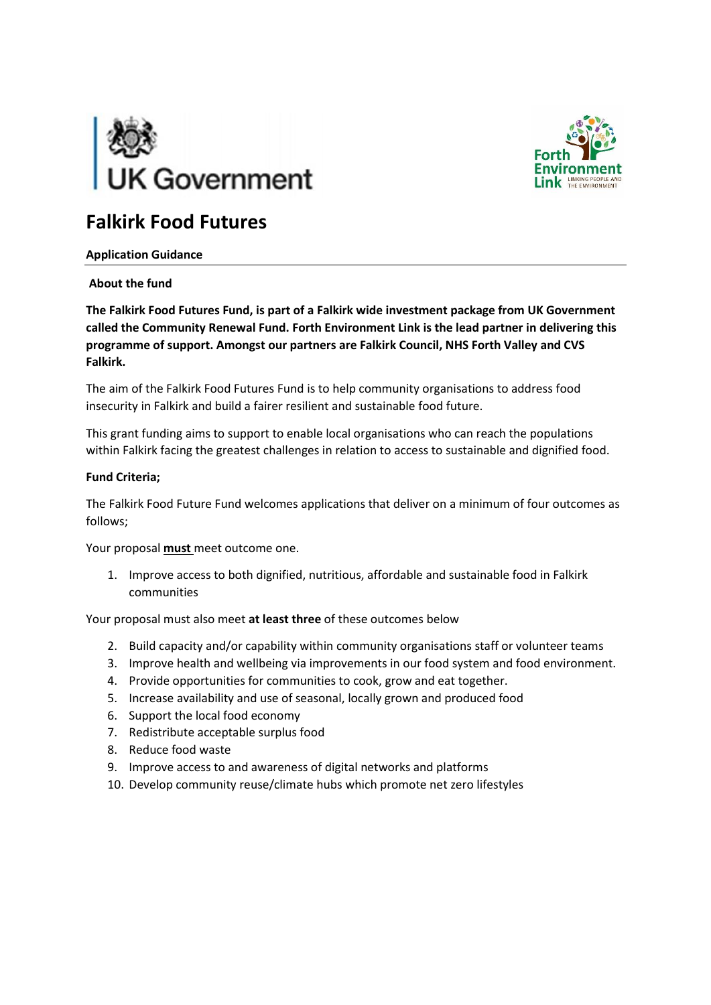



# **Falkirk Food Futures**

## **Application Guidance**

## **About the fund**

**The Falkirk Food Futures Fund, is part of a Falkirk wide investment package from UK Government called the Community Renewal Fund. Forth Environment Link is the lead partner in delivering this programme of support. Amongst our partners are Falkirk Council, NHS Forth Valley and CVS Falkirk.**

The aim of the Falkirk Food Futures Fund is to help community organisations to address food insecurity in Falkirk and build a fairer resilient and sustainable food future.

This grant funding aims to support to enable local organisations who can reach the populations within Falkirk facing the greatest challenges in relation to access to sustainable and dignified food.

#### **Fund Criteria;**

The Falkirk Food Future Fund welcomes applications that deliver on a minimum of four outcomes as follows;

Your proposal **must** meet outcome one.

1. Improve access to both dignified, nutritious, affordable and sustainable food in Falkirk communities

Your proposal must also meet **at least three** of these outcomes below

- 2. Build capacity and/or capability within community organisations staff or volunteer teams
- 3. Improve health and wellbeing via improvements in our food system and food environment.
- 4. Provide opportunities for communities to cook, grow and eat together.
- 5. Increase availability and use of seasonal, locally grown and produced food
- 6. Support the local food economy
- 7. Redistribute acceptable surplus food
- 8. Reduce food waste
- 9. Improve access to and awareness of digital networks and platforms
- 10. Develop community reuse/climate hubs which promote net zero lifestyles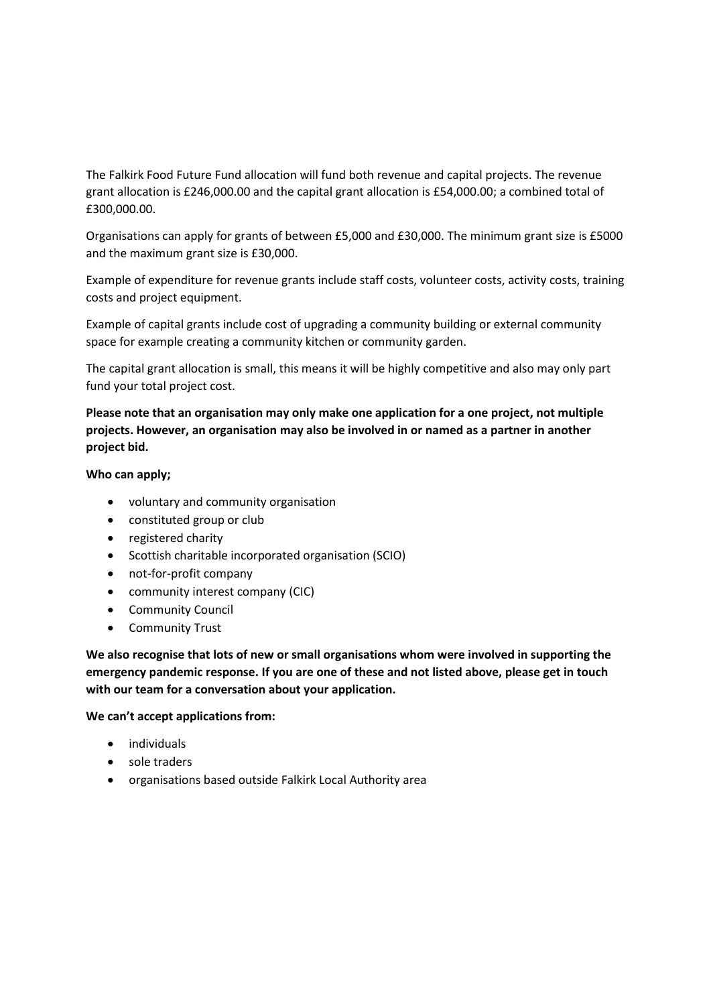The Falkirk Food Future Fund allocation will fund both revenue and capital projects. The revenue grant allocation is £246,000.00 and the capital grant allocation is £54,000.00; a combined total of £300,000.00.

Organisations can apply for grants of between £5,000 and £30,000. The minimum grant size is £5000 and the maximum grant size is £30,000.

Example of expenditure for revenue grants include staff costs, volunteer costs, activity costs, training costs and project equipment.

Example of capital grants include cost of upgrading a community building or external community space for example creating a community kitchen or community garden.

The capital grant allocation is small, this means it will be highly competitive and also may only part fund your total project cost.

**Please note that an organisation may only make one application for a one project, not multiple projects. However, an organisation may also be involved in or named as a partner in another project bid.** 

#### **Who can apply;**

- voluntary and community organisation
- constituted group or club
- registered charity
- Scottish charitable incorporated organisation (SCIO)
- not-for-profit company
- community interest company (CIC)
- Community Council
- Community Trust

**We also recognise that lots of new or small organisations whom were involved in supporting the emergency pandemic response. If you are one of these and not listed above, please get in touch with our team for a conversation about your application.**

#### **We can't accept applications from:**

- individuals
- sole traders
- organisations based outside Falkirk Local Authority area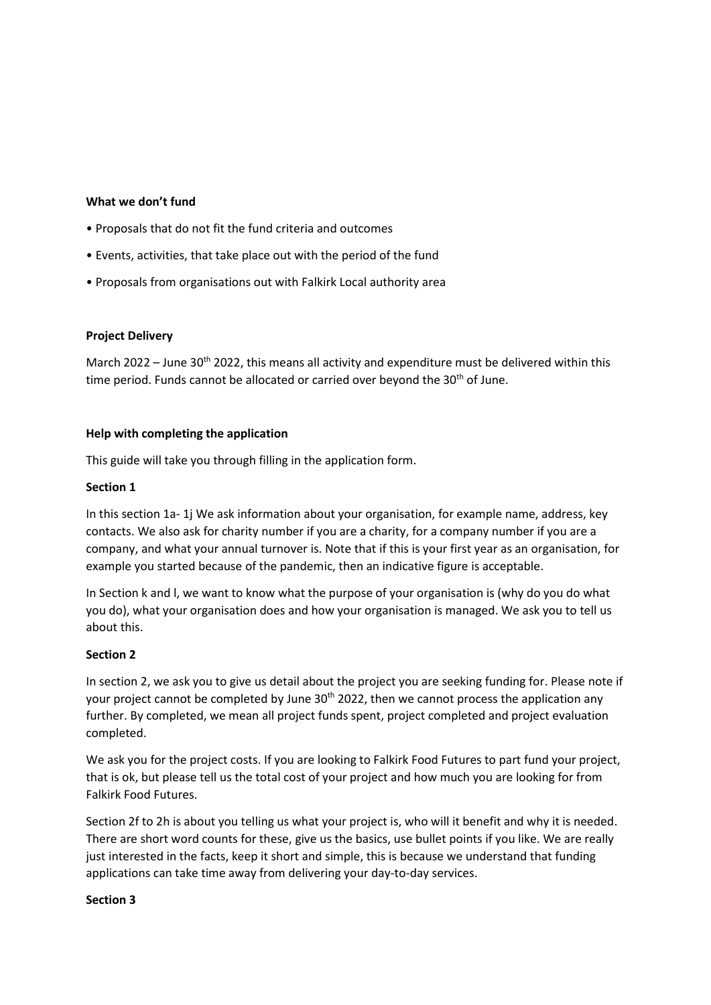#### **What we don't fund**

- Proposals that do not fit the fund criteria and outcomes
- Events, activities, that take place out with the period of the fund
- Proposals from organisations out with Falkirk Local authority area

#### **Project Delivery**

March 2022 – June 30<sup>th</sup> 2022, this means all activity and expenditure must be delivered within this time period. Funds cannot be allocated or carried over beyond the  $30<sup>th</sup>$  of June.

#### **Help with completing the application**

This guide will take you through filling in the application form.

#### **Section 1**

In this section 1a- 1j We ask information about your organisation, for example name, address, key contacts. We also ask for charity number if you are a charity, for a company number if you are a company, and what your annual turnover is. Note that if this is your first year as an organisation, for example you started because of the pandemic, then an indicative figure is acceptable.

In Section k and l, we want to know what the purpose of your organisation is (why do you do what you do), what your organisation does and how your organisation is managed. We ask you to tell us about this.

#### **Section 2**

In section 2, we ask you to give us detail about the project you are seeking funding for. Please note if your project cannot be completed by June  $30<sup>th</sup>$  2022, then we cannot process the application any further. By completed, we mean all project funds spent, project completed and project evaluation completed.

We ask you for the project costs. If you are looking to Falkirk Food Futures to part fund your project, that is ok, but please tell us the total cost of your project and how much you are looking for from Falkirk Food Futures.

Section 2f to 2h is about you telling us what your project is, who will it benefit and why it is needed. There are short word counts for these, give us the basics, use bullet points if you like. We are really just interested in the facts, keep it short and simple, this is because we understand that funding applications can take time away from delivering your day-to-day services.

#### **Section 3**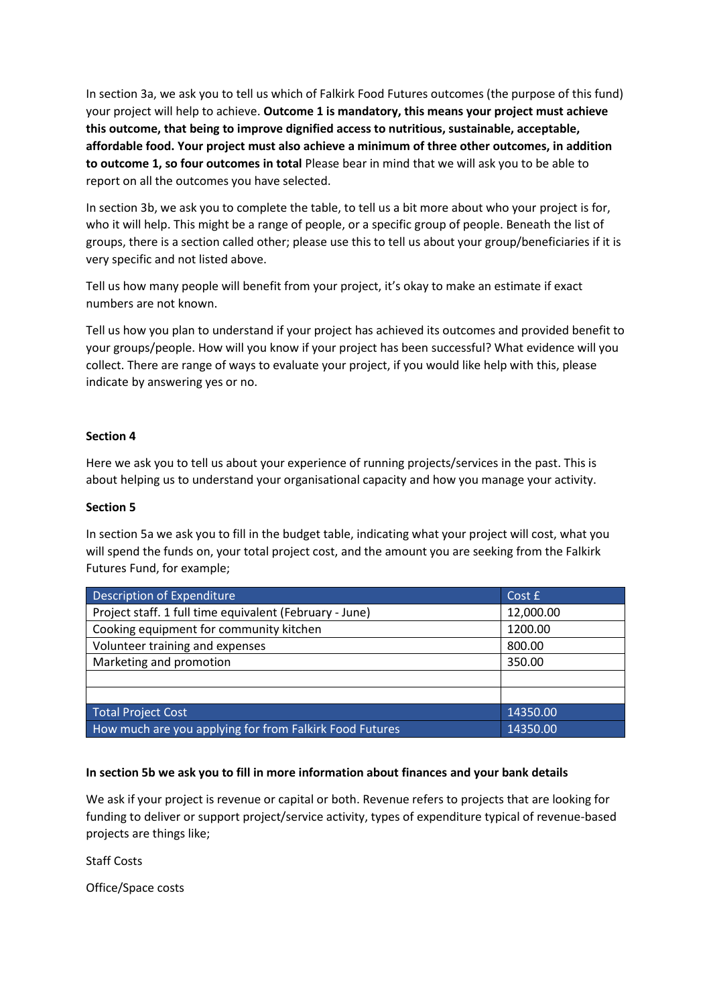In section 3a, we ask you to tell us which of Falkirk Food Futures outcomes (the purpose of this fund) your project will help to achieve. **Outcome 1 is mandatory, this means your project must achieve this outcome, that being to improve dignified access to nutritious, sustainable, acceptable, affordable food. Your project must also achieve a minimum of three other outcomes, in addition to outcome 1, so four outcomes in total** Please bear in mind that we will ask you to be able to report on all the outcomes you have selected.

In section 3b, we ask you to complete the table, to tell us a bit more about who your project is for, who it will help. This might be a range of people, or a specific group of people. Beneath the list of groups, there is a section called other; please use this to tell us about your group/beneficiaries if it is very specific and not listed above.

Tell us how many people will benefit from your project, it's okay to make an estimate if exact numbers are not known.

Tell us how you plan to understand if your project has achieved its outcomes and provided benefit to your groups/people. How will you know if your project has been successful? What evidence will you collect. There are range of ways to evaluate your project, if you would like help with this, please indicate by answering yes or no.

#### **Section 4**

Here we ask you to tell us about your experience of running projects/services in the past. This is about helping us to understand your organisational capacity and how you manage your activity.

#### **Section 5**

In section 5a we ask you to fill in the budget table, indicating what your project will cost, what you will spend the funds on, your total project cost, and the amount you are seeking from the Falkirk Futures Fund, for example;

| Description of Expenditure                              | Cost £    |
|---------------------------------------------------------|-----------|
| Project staff. 1 full time equivalent (February - June) | 12,000.00 |
| Cooking equipment for community kitchen                 | 1200.00   |
| Volunteer training and expenses                         | 800.00    |
| Marketing and promotion                                 | 350.00    |
|                                                         |           |
|                                                         |           |
| <b>Total Project Cost</b>                               | 14350.00  |
| How much are you applying for from Falkirk Food Futures | 14350.00  |

# **In section 5b we ask you to fill in more information about finances and your bank details**

We ask if your project is revenue or capital or both. Revenue refers to projects that are looking for funding to deliver or support project/service activity, types of expenditure typical of revenue-based projects are things like;

Staff Costs

Office/Space costs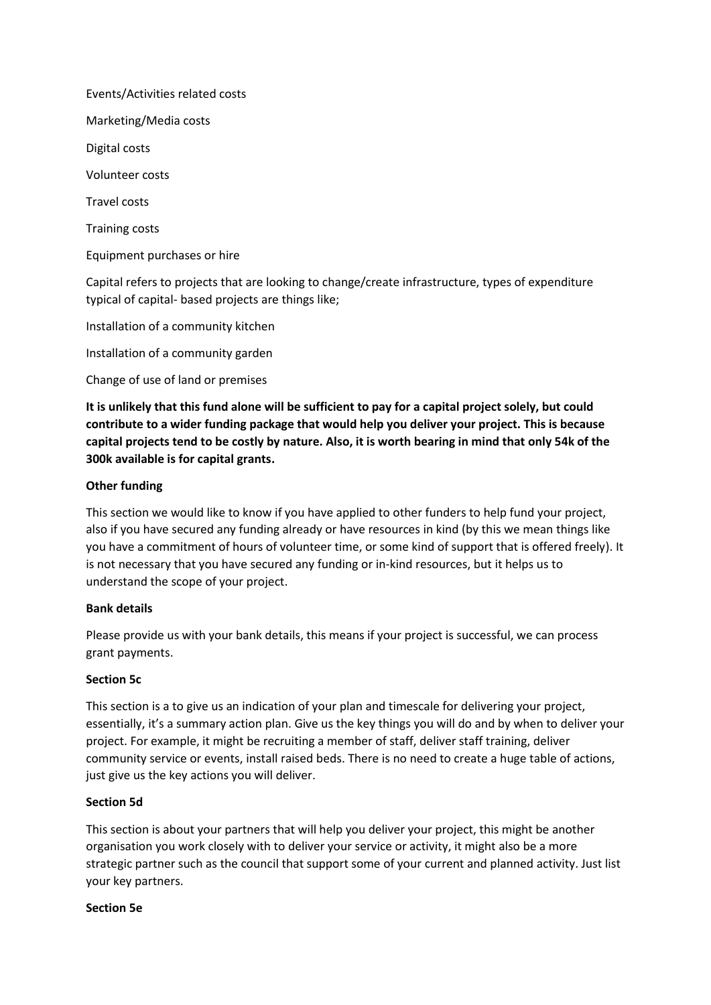Events/Activities related costs

Marketing/Media costs

Digital costs

Volunteer costs

Travel costs

Training costs

Equipment purchases or hire

Capital refers to projects that are looking to change/create infrastructure, types of expenditure typical of capital- based projects are things like;

Installation of a community kitchen

Installation of a community garden

Change of use of land or premises

**It is unlikely that this fund alone will be sufficient to pay for a capital project solely, but could contribute to a wider funding package that would help you deliver your project. This is because capital projects tend to be costly by nature. Also, it is worth bearing in mind that only 54k of the 300k available is for capital grants.** 

#### **Other funding**

This section we would like to know if you have applied to other funders to help fund your project, also if you have secured any funding already or have resources in kind (by this we mean things like you have a commitment of hours of volunteer time, or some kind of support that is offered freely). It is not necessary that you have secured any funding or in-kind resources, but it helps us to understand the scope of your project.

#### **Bank details**

Please provide us with your bank details, this means if your project is successful, we can process grant payments.

#### **Section 5c**

This section is a to give us an indication of your plan and timescale for delivering your project, essentially, it's a summary action plan. Give us the key things you will do and by when to deliver your project. For example, it might be recruiting a member of staff, deliver staff training, deliver community service or events, install raised beds. There is no need to create a huge table of actions, just give us the key actions you will deliver.

#### **Section 5d**

This section is about your partners that will help you deliver your project, this might be another organisation you work closely with to deliver your service or activity, it might also be a more strategic partner such as the council that support some of your current and planned activity. Just list your key partners.

#### **Section 5e**